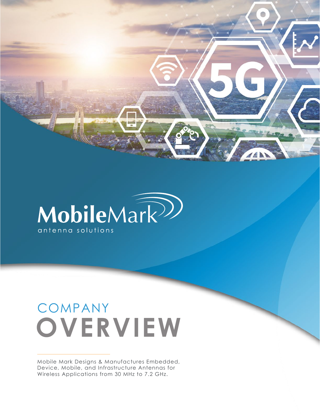MobileMark<sup>22</sup> antenna solutions

## COMPANY **OVERVIEW**

Mobile Mark Designs & Manufactures Embedded, Device, Mobile, and Infrastructure Antennas for Wireless Applications from 30 MHz to 7.2 GHz.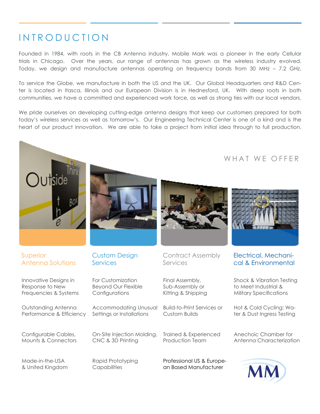### INTRODUCTION

Founded in 1984, with roots in the CB Antenna industry, Mobile Mark was a pioneer in the early Cellular trials in Chicago. Over the years, our range of antennas has grown as the wireless industry evolved. Today, we design and manufacture antennas operating on frequency bands from 30 MHz – 7.2 GHz.

To service the Globe, we manufacture in both the US and the UK. Our Global Headquarters and R&D Center is located in Itasca, Illinois and our European Division is in Hednesford, UK. With deep roots in both communities, we have a committed and experienced work force, as well as strong ties with our local vendors.

We pride ourselves on developing cutting-edge antenna designs that keep our customers prepared for both today's wireless services as well as tomorrow's. Our Engineering Technical Center is one of a kind and is the heart of our product innovation. We are able to take a project from initial idea through to full production.

#### WHAT WE OFFER







#### Superior Antenna Solutions

Innovative Designs in Response to New Frequencies & Systems

Outstanding Antenna Performance & Efficiency

Configurable Cables, Mounts & Connectors

Made-in-the-USA & United Kingdom

Custom Design **Services** 

For Customization Beyond Our Flexible **Configurations** 

Accommodating Unusual Settings or Installations

On-Site Injection Molding, CNC & 3D Printing

Rapid Prototyping **Capabilities** 

Contract Assembly Services

Final Assembly, Sub-Assembly or Kitting & Shipping

Build-to-Print Services or Custom Builds

Trained & Experienced Production Team

Professional US & European Based Manufacturer



#### Electrical, Mechanical & Environmental

Shock & Vibration Testing to Meet Industrial & Military Specifications

Hot & Cold Cycling; Water & Dust Ingress Testing

Anechoic Chamber for Antenna Characterization

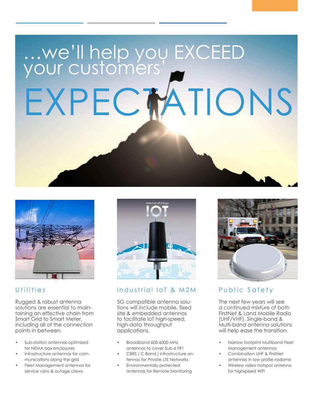# …we'll help you EXCEED your customers' EXPECTATIONS



#### [Utilities](https://www.mobilemark.com/industries-served/utilities/)

Rugged & robust antenna solutions are essential to maintaining an effective chain from Smart Grid to Smart Meter, including all of the connection points in between.

- Sub-station antennas optimized for NEMA box enclosures
- Infrastructure antennas for communications along the grid
- Fleet Management antennas for service vans & outage crews



#### Industrial IoT & M2M

5G compatible antenna solutions will include mobile, fixed site & embedded antennas to facilitate IoT high-speed, high-data throughput applications.

- Broadband 600-6000 MHz antennas to cover Sub-6 FR1
- CBRS ( C-Band ) infrastructure antennas for Private LTE Networks
- Environmentally protected antennas for Remote Monitoring



#### [Public Safety](https://www.mobilemark.com/industries-served/utilities/)

The next few years will see a continued mixture of both FirstNet & Land Mobile Radio (UHF/VHF). Single-band & Multi-band antenna solutions will help ease the transition.

- Narrow footprint Multiband Fleet Management antennas
- Combination UHF & FirstNet antennas in low profile radome
- Wireless video hotspot antenna for highspeed WiFi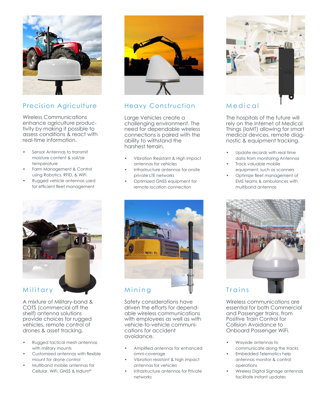

#### Precision Agriculture

Wireless Communications enhance agriculture productivity by making it possible to assess conditions & react with real-time information.

- Sensor Antennas to transmit moisture content & soil/air temperature
- Farm Management & Control using Robotics, RFID, & WiFi.
- Rugged vehicle antennas used for efficient fleet management



A mixture of Military-band & COTS (commercial off the shelf) antenna solutions provide choices for rugged vehicles, remote control of drones & asset tracking.

- Rugged tactical mesh antennas with military mounts
- Customized antennas with flexible mount for drone control
- Multiband mobile antennas for Cellular, WiFi, GNSS & Iridium®



#### Heavy Construction

Large Vehicles create a challenging environment. The need for dependable wireless connections is paired with the ability to withstand the harshest terrain.

- Vibration Resistant & High Impact antennas for vehicles
- Infrastructure antennas for onsite private LTE networks
- Optimized GNSS equipment for remote location connection



Safety considerations have driven the efforts for dependable wireless communications with employees as well as with vehicle-to-vehicle communications for accident avoidance.

- Amplified antennas for enhanced omni-coverage
- Vibration resistant & high impact antennas for vehicles
- Infrastructure antennas for Private networks



#### Medical

The hospitals of the future will rely on the Internet of Medical Things (IoMT) allowing for smart medical devices, remote diagnostic & equipment tracking.

- Update records with real-time data from monitoring Antennas
- Track valuable mobile equipment, such as scanners
- Optimize fleet management of EMS teams & ambulances with multiband antennas



Wireless communications are essential for both Commercial and Passenger trains, from Positive Train Control for Collision Avoidance to Onboard Passenger WiFi.

- Wayside antennas to communicate along the tracks
- Embedded Telematics help antennas monitor & control operations
- Wireless Digital Signage antennas facilitate instant updates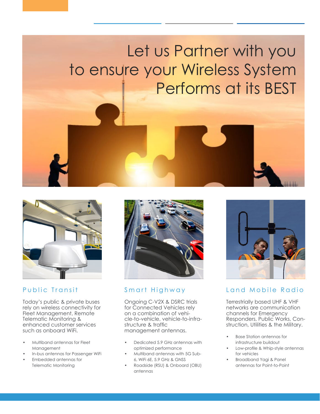## Let us Partner with you to ensure your Wireless System Performs at its BEST



#### Public Transit

Today's public & private buses rely on wireless connectivity for Fleet Management, Remote Telematic Monitoring & enhanced customer services such as onboard WiFi.

- Multiband antennas for Fleet Management
- In-bus antennas for Passenger WiFi
- Embedded antennas for Telematic Monitoring



#### [Smart Highway](https://www.mobilemark.com/industries-served/smart-highway/)

Ongoing C-V2X & DSRC trials for Connected Vehicles rely on a combination of vehicle-to-vehicle, vehicle-to-infrastructure & traffic management antennas.

- Dedicated 5.9 GHz antennas with optimized performance
- Multiband antennas with 5G Sub-6, WiFi 6E, 5.9 GHz & GNSS
- Roadside (RSU) & Onboard (OBU) antennas



#### [Land Mobile Radio](https://www.mobilemark.com/industries-served/land-mobile-radio-antenna-solutions/)

Terrestrially based UHF & VHF networks are communication channels for Emergency Responders, Public Works, Construction, Utilities & the Military.

- Base Station antennas for infrastructure buildout
- Low-profile & Whip-style antennas for vehicles
- Broadband Yagi & Panel antennas for Point-to-Point